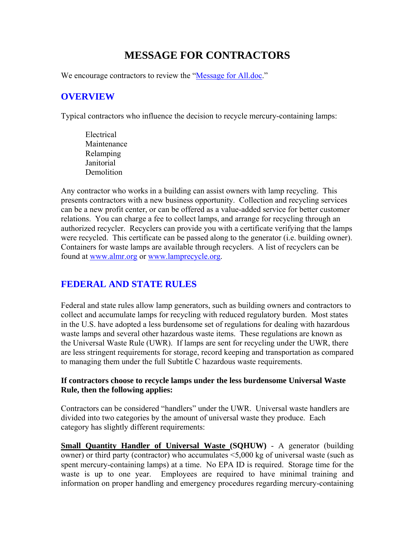# **MESSAGE FOR CONTRACTORS**

We encourage contractors to review the "Message for All.doc."

### **OVERVIEW**

Typical contractors who influence the decision to recycle mercury-containing lamps:

Electrical Maintenance Relamping Janitorial **Demolition** 

Any contractor who works in a building can assist owners with lamp recycling. This presents contractors with a new business opportunity. Collection and recycling services can be a new profit center, or can be offered as a value-added service for better customer relations. You can charge a fee to collect lamps, and arrange for recycling through an authorized recycler. Recyclers can provide you with a certificate verifying that the lamps were recycled. This certificate can be passed along to the generator (i.e. building owner). Containers for waste lamps are available through recyclers. A list of recyclers can be found at [www.almr.org](http://www.almr.org/) or [www.lamprecycle.org](http://www.lamprecycle.org/).

## **FEDERAL AND STATE RULES**

Federal and state rules allow lamp generators, such as building owners and contractors to collect and accumulate lamps for recycling with reduced regulatory burden. Most states in the U.S. have adopted a less burdensome set of regulations for dealing with hazardous waste lamps and several other hazardous waste items. These regulations are known as the Universal Waste Rule (UWR). If lamps are sent for recycling under the UWR, there are less stringent requirements for storage, record keeping and transportation as compared to managing them under the full Subtitle C hazardous waste requirements.

#### **If contractors choose to recycle lamps under the less burdensome Universal Waste Rule, then the following applies:**

Contractors can be considered "handlers" under the UWR. Universal waste handlers are divided into two categories by the amount of universal waste they produce. Each category has slightly different requirements:

**Small Quantity Handler of Universal Waste (SQHUW)** - A generator (building owner) or third party (contractor) who accumulates <5,000 kg of universal waste (such as spent mercury-containing lamps) at a time. No EPA ID is required. Storage time for the waste is up to one year. Employees are required to have minimal training and information on proper handling and emergency procedures regarding mercury-containing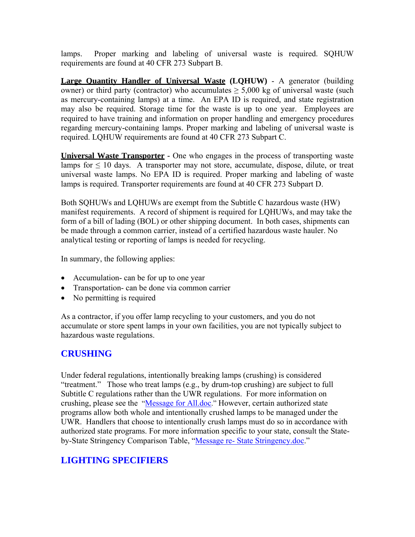lamps. Proper marking and labeling of universal waste is required. SQHUW requirements are found at 40 CFR 273 Subpart B.

**Large Quantity Handler of Universal Waste (LQHUW)** - A generator (building owner) or third party (contractor) who accumulates  $\geq 5,000$  kg of universal waste (such as mercury-containing lamps) at a time. An EPA ID is required, and state registration may also be required. Storage time for the waste is up to one year. Employees are required to have training and information on proper handling and emergency procedures regarding mercury-containing lamps. Proper marking and labeling of universal waste is required. LQHUW requirements are found at 40 CFR 273 Subpart C.

**Universal Waste Transporter -** One who engages in the process of transporting waste lamps for  $\leq 10$  days. A transporter may not store, accumulate, dispose, dilute, or treat universal waste lamps. No EPA ID is required. Proper marking and labeling of waste lamps is required. Transporter requirements are found at 40 CFR 273 Subpart D.

Both SQHUWs and LQHUWs are exempt from the Subtitle C hazardous waste (HW) manifest requirements. A record of shipment is required for LQHUWs, and may take the form of a bill of lading (BOL) or other shipping document. In both cases, shipments can be made through a common carrier, instead of a certified hazardous waste hauler. No analytical testing or reporting of lamps is needed for recycling.

In summary, the following applies:

- Accumulation- can be for up to one year
- Transportation- can be done via common carrier
- No permitting is required

As a contractor, if you offer lamp recycling to your customers, and you do not accumulate or store spent lamps in your own facilities, you are not typically subject to hazardous waste regulations.

## **CRUSHING**

Under federal regulations, intentionally breaking lamps (crushing) is considered "treatment." Those who treat lamps (e.g., by drum-top crushing) are subject to full Subtitle C regulations rather than the UWR regulations. For more information on crushing, please see the "Message for All.doc." However, certain authorized state programs allow both whole and intentionally crushed lamps to be managed under the UWR. Handlers that choose to intentionally crush lamps must do so in accordance with authorized state programs. For more information specific to your state, consult the Stateby-State Stringency Comparison Table, "Message re- State Stringency.doc."

## **LIGHTING SPECIFIERS**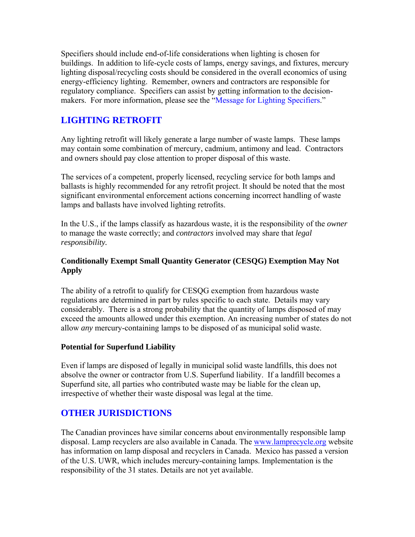Specifiers should include end-of-life considerations when lighting is chosen for buildings. In addition to life-cycle costs of lamps, energy savings, and fixtures, mercury lighting disposal/recycling costs should be considered in the overall economics of using energy-efficiency lighting. Remember, owners and contractors are responsible for regulatory compliance. Specifiers can assist by getting information to the decisionmakers. For more information, please see the "Message for Lighting Specifiers."

### **LIGHTING RETROFIT**

Any lighting retrofit will likely generate a large number of waste lamps. These lamps may contain some combination of mercury, cadmium, antimony and lead. Contractors and owners should pay close attention to proper disposal of this waste.

The services of a competent, properly licensed, recycling service for both lamps and ballasts is highly recommended for any retrofit project. It should be noted that the most significant environmental enforcement actions concerning incorrect handling of waste lamps and ballasts have involved lighting retrofits.

In the U.S., if the lamps classify as hazardous waste, it is the responsibility of the *owner* to manage the waste correctly; and *contractors* involved may share that *legal responsibility.* 

### **Conditionally Exempt Small Quantity Generator (CESQG) Exemption May Not Apply**

The ability of a retrofit to qualify for CESQG exemption from hazardous waste regulations are determined in part by rules specific to each state. Details may vary considerably. There is a strong probability that the quantity of lamps disposed of may exceed the amounts allowed under this exemption. An increasing number of states do not allow *any* mercury-containing lamps to be disposed of as municipal solid waste.

#### **Potential for Superfund Liability**

Even if lamps are disposed of legally in municipal solid waste landfills, this does not absolve the owner or contractor from U.S. Superfund liability. If a landfill becomes a Superfund site, all parties who contributed waste may be liable for the clean up, irrespective of whether their waste disposal was legal at the time.

### **OTHER JURISDICTIONS**

The Canadian provinces have similar concerns about environmentally responsible lamp disposal. Lamp recyclers are also available in Canada. The [www.lamprecycle.org](http://www.lamprecycle.org/) website has information on lamp disposal and recyclers in Canada. Mexico has passed a version of the U.S. UWR, which includes mercury-containing lamps. Implementation is the responsibility of the 31 states. Details are not yet available.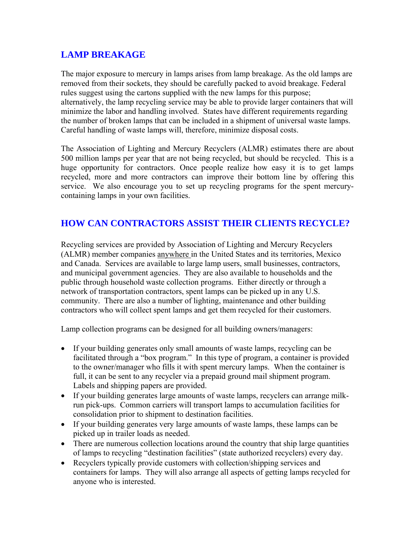### **LAMP BREAKAGE**

The major exposure to mercury in lamps arises from lamp breakage. As the old lamps are removed from their sockets, they should be carefully packed to avoid breakage. Federal rules suggest using the cartons supplied with the new lamps for this purpose; alternatively, the lamp recycling service may be able to provide larger containers that will minimize the labor and handling involved. States have different requirements regarding the number of broken lamps that can be included in a shipment of universal waste lamps. Careful handling of waste lamps will, therefore, minimize disposal costs.

The Association of Lighting and Mercury Recyclers (ALMR) estimates there are about 500 million lamps per year that are not being recycled, but should be recycled. This is a huge opportunity for contractors. Once people realize how easy it is to get lamps recycled, more and more contractors can improve their bottom line by offering this service. We also encourage you to set up recycling programs for the spent mercurycontaining lamps in your own facilities.

## **HOW CAN CONTRACTORS ASSIST THEIR CLIENTS RECYCLE?**

Recycling services are provided by Association of Lighting and Mercury Recyclers (ALMR) member companies anywhere in the United States and its territories, Mexico and Canada. Services are available to large lamp users, small businesses, contractors, and municipal government agencies. They are also available to households and the public through household waste collection programs. Either directly or through a network of transportation contractors, spent lamps can be picked up in any U.S. community. There are also a number of lighting, maintenance and other building contractors who will collect spent lamps and get them recycled for their customers.

Lamp collection programs can be designed for all building owners/managers:

- If your building generates only small amounts of waste lamps, recycling can be facilitated through a "box program." In this type of program, a container is provided to the owner/manager who fills it with spent mercury lamps. When the container is full, it can be sent to any recycler via a prepaid ground mail shipment program. Labels and shipping papers are provided.
- If your building generates large amounts of waste lamps, recyclers can arrange milkrun pick-ups. Common carriers will transport lamps to accumulation facilities for consolidation prior to shipment to destination facilities.
- If your building generates very large amounts of waste lamps, these lamps can be picked up in trailer loads as needed.
- There are numerous collection locations around the country that ship large quantities of lamps to recycling "destination facilities" (state authorized recyclers) every day.
- Recyclers typically provide customers with collection/shipping services and containers for lamps. They will also arrange all aspects of getting lamps recycled for anyone who is interested.